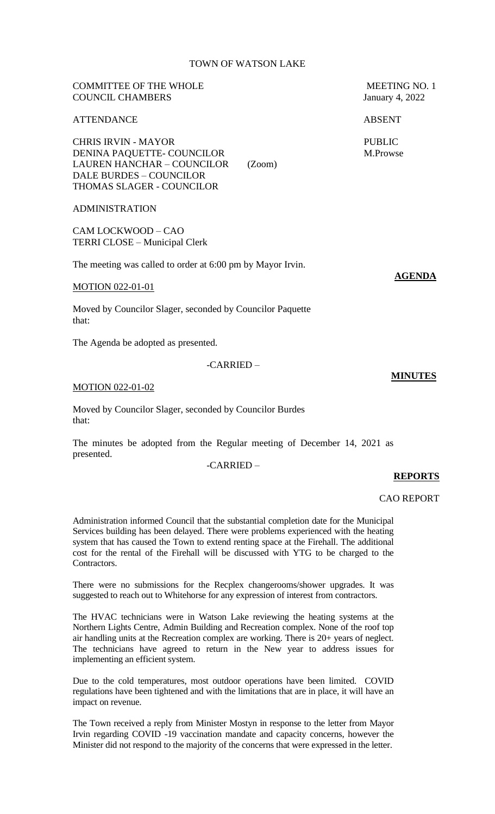## TOWN OF WATSON LAKE

# COUNCIL CHAMBERS January 4, 2022 ATTENDANCE ABSENT CHRIS IRVIN - MAYOR PUBLIC DENINA PAQUETTE- COUNCILOR M.Prowse LAUREN HANCHAR – COUNCILOR (Zoom) DALE BURDES – COUNCILOR THOMAS SLAGER - COUNCILOR ADMINISTRATION CAM LOCKWOOD – CAO TERRI CLOSE – Municipal Clerk The meeting was called to order at 6:00 pm by Mayor Irvin. MOTION 022-01-01 Moved by Councilor Slager, seconded by Councilor Paquette that: The Agenda be adopted as presented. -CARRIED –

#### MOTION 022-01-02

Moved by Councilor Slager, seconded by Councilor Burdes that:

The minutes be adopted from the Regular meeting of December 14, 2021 as presented.

-CARRIED –

## **REPORTS**

CAO REPORT

Administration informed Council that the substantial completion date for the Municipal Services building has been delayed. There were problems experienced with the heating system that has caused the Town to extend renting space at the Firehall. The additional cost for the rental of the Firehall will be discussed with YTG to be charged to the Contractors.

There were no submissions for the Recplex changerooms/shower upgrades. It was suggested to reach out to Whitehorse for any expression of interest from contractors.

The HVAC technicians were in Watson Lake reviewing the heating systems at the Northern Lights Centre, Admin Building and Recreation complex. None of the roof top air handling units at the Recreation complex are working. There is 20+ years of neglect. The technicians have agreed to return in the New year to address issues for implementing an efficient system.

Due to the cold temperatures, most outdoor operations have been limited. COVID regulations have been tightened and with the limitations that are in place, it will have an impact on revenue.

The Town received a reply from Minister Mostyn in response to the letter from Mayor Irvin regarding COVID -19 vaccination mandate and capacity concerns, however the Minister did not respond to the majority of the concerns that were expressed in the letter.

COMMITTEE OF THE WHOLE MEETING NO. 1

**AGENDA**

**MINUTES**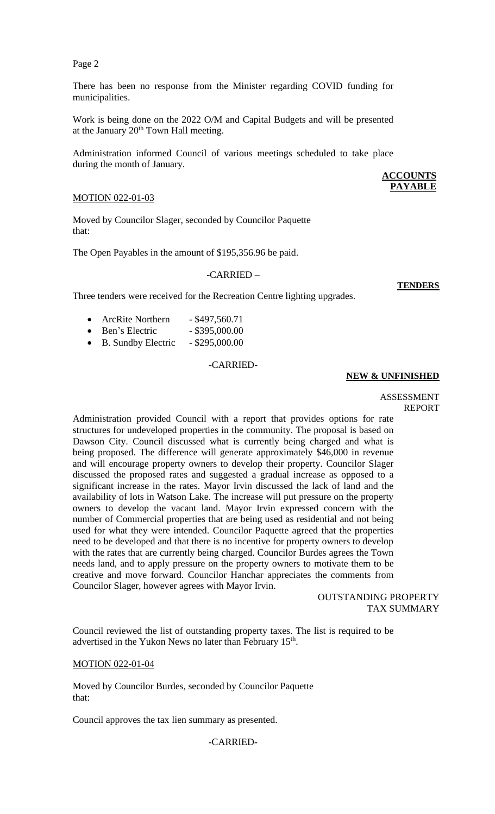Page 2

There has been no response from the Minister regarding COVID funding for municipalities.

Work is being done on the 2022 O/M and Capital Budgets and will be presented at the January  $20<sup>th</sup>$  Town Hall meeting.

Administration informed Council of various meetings scheduled to take place during the month of January.

## MOTION 022-01-03

Moved by Councilor Slager, seconded by Councilor Paquette that:

The Open Payables in the amount of \$195,356.96 be paid.

## -CARRIED –

**TENDERS**

**ACCOUNTS PAYABLE**

| Three tenders were received for the Recreation Centre lighting upgrades. |  |  |  |
|--------------------------------------------------------------------------|--|--|--|
|                                                                          |  |  |  |

| <b>ArcRite Northern</b>             | $-$ \$497,560.71 |
|-------------------------------------|------------------|
| $\mathbf{D}_{\alpha n}$ 'e Electric | 2050000          |

- **Ben's Electric** \$395,000.00
- B. Sundby Electric \$295,000.00

## -CARRIED-

# **NEW & UNFINISHED**

#### ASSESSMENT REPORT

Administration provided Council with a report that provides options for rate structures for undeveloped properties in the community. The proposal is based on Dawson City. Council discussed what is currently being charged and what is being proposed. The difference will generate approximately \$46,000 in revenue and will encourage property owners to develop their property. Councilor Slager discussed the proposed rates and suggested a gradual increase as opposed to a significant increase in the rates. Mayor Irvin discussed the lack of land and the availability of lots in Watson Lake. The increase will put pressure on the property owners to develop the vacant land. Mayor Irvin expressed concern with the number of Commercial properties that are being used as residential and not being used for what they were intended. Councilor Paquette agreed that the properties need to be developed and that there is no incentive for property owners to develop with the rates that are currently being charged. Councilor Burdes agrees the Town needs land, and to apply pressure on the property owners to motivate them to be creative and move forward. Councilor Hanchar appreciates the comments from Councilor Slager, however agrees with Mayor Irvin.

> OUTSTANDING PROPERTY TAX SUMMARY

Council reviewed the list of outstanding property taxes. The list is required to be advertised in the Yukon News no later than February 15<sup>th</sup>.

## MOTION 022-01-04

Moved by Councilor Burdes, seconded by Councilor Paquette that:

Council approves the tax lien summary as presented.

## -CARRIED-